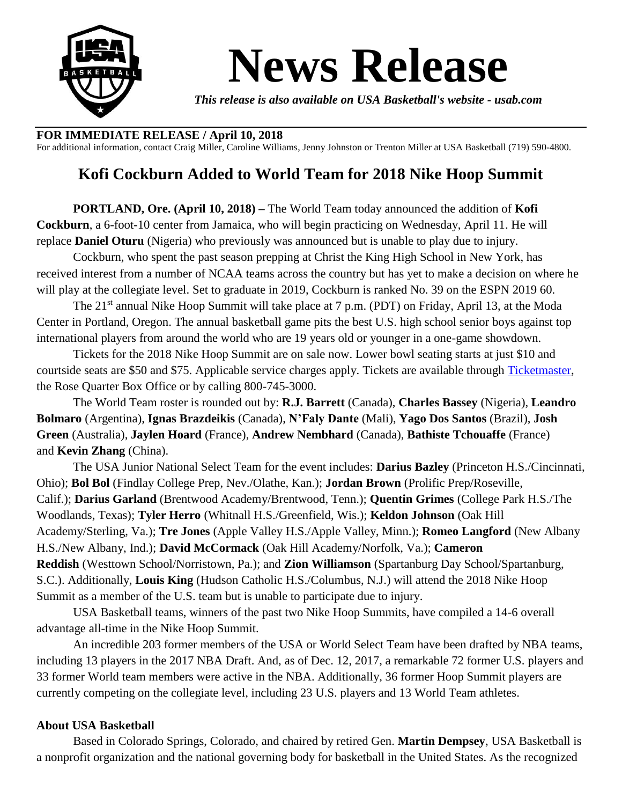

## **News Release**

*This release is also available on USA Basketball's website - usab.com*

## **FOR IMMEDIATE RELEASE / April 10, 2018**

For additional information, contact Craig Miller, Caroline Williams, Jenny Johnston or Trenton Miller at USA Basketball (719) 590-4800.

## **Kofi Cockburn Added to World Team for 2018 Nike Hoop Summit**

**PORTLAND, Ore. (April 10, 2018) –** The World Team today announced the addition of **Kofi Cockburn**, a 6-foot-10 center from Jamaica, who will begin practicing on Wednesday, April 11. He will replace **Daniel Oturu** (Nigeria) who previously was announced but is unable to play due to injury.

Cockburn, who spent the past season prepping at Christ the King High School in New York, has received interest from a number of NCAA teams across the country but has yet to make a decision on where he will play at the collegiate level. Set to graduate in 2019, Cockburn is ranked No. 39 on the ESPN 2019 60.

The 21<sup>st</sup> annual Nike Hoop Summit will take place at 7 p.m. (PDT) on Friday, April 13, at the Moda Center in Portland, Oregon. The annual basketball game pits the best U.S. high school senior boys against top international players from around the world who are 19 years old or younger in a one-game showdown.

Tickets for the 2018 Nike Hoop Summit are on sale now. Lower bowl seating starts at just \$10 and courtside seats are \$50 and \$75. Applicable service charges apply. Tickets are available through [Ticketmaster,](https://urldefense.proofpoint.com/v2/url?u=https-3A__www1.ticketmaster.com_event_0F0053929D891B2D-23efeat4212&d=DwMGaQ&c=7DfhQjPWzR3PmWBQVpi-kw&r=oulD3e1gX_D_awXibuiwSULlVWTtmNhrdsVjQmWj3eM&m=4PpW_nOQYFY0tHRRQX-uihgQ2T4IowaffRaRddZ0DhY&s=-qV0UJG8OZOIATCw-PI9b5ur3YBFuGGD7On5Mk3xWAw&e=) the Rose Quarter Box Office or by calling 800-745-3000.

The World Team roster is rounded out by: **R.J. Barrett** (Canada), **Charles Bassey** (Nigeria), **Leandro Bolmaro** (Argentina), **Ignas Brazdeikis** (Canada), **N'Faly Dante** (Mali), **Yago Dos Santos** (Brazil), **Josh Green** (Australia), **Jaylen Hoard** (France), **Andrew Nembhard** (Canada), **Bathiste Tchouaffe** (France) and **Kevin Zhang** (China).

The USA Junior National Select Team for the event includes: **Darius Bazley** (Princeton H.S./Cincinnati, Ohio); **Bol Bol** (Findlay College Prep, Nev./Olathe, Kan.); **Jordan Brown** (Prolific Prep/Roseville, Calif.); **Darius Garland** (Brentwood Academy/Brentwood, Tenn.); **Quentin Grimes** (College Park H.S./The Woodlands, Texas); **Tyler Herro** (Whitnall H.S./Greenfield, Wis.); **Keldon Johnson** (Oak Hill Academy/Sterling, Va.); **Tre Jones** (Apple Valley H.S./Apple Valley, Minn.); **Romeo Langford** (New Albany H.S./New Albany, Ind.); **David McCormack** (Oak Hill Academy/Norfolk, Va.); **Cameron Reddish** (Westtown School/Norristown, Pa.); and **Zion Williamson** (Spartanburg Day School/Spartanburg, S.C.). Additionally, **Louis King** (Hudson Catholic H.S./Columbus, N.J.) will attend the 2018 Nike Hoop Summit as a member of the U.S. team but is unable to participate due to injury.

USA Basketball teams, winners of the past two Nike Hoop Summits, have compiled a 14-6 overall advantage all-time in the Nike Hoop Summit.

An incredible 203 former members of the USA or World Select Team have been drafted by NBA teams, including 13 players in the 2017 NBA Draft. And, as of Dec. 12, 2017, a remarkable 72 former U.S. players and 33 former World team members were active in the NBA. Additionally, 36 former Hoop Summit players are currently competing on the collegiate level, including 23 U.S. players and 13 World Team athletes.

## **About USA Basketball**

Based in Colorado Springs, Colorado, and chaired by retired Gen. **Martin Dempsey**, USA Basketball is a nonprofit organization and the national governing body for basketball in the United States. As the recognized